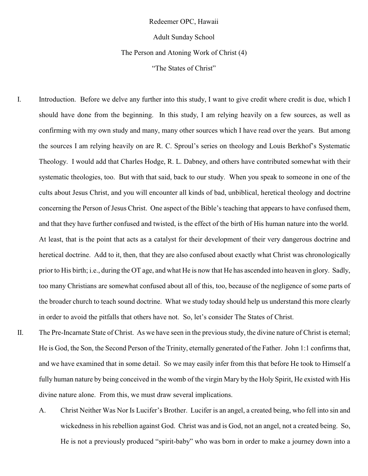Redeemer OPC, Hawaii

Adult Sunday School

The Person and Atoning Work of Christ (4)

"The States of Christ"

- I. Introduction. Before we delve any further into this study, I want to give credit where credit is due, which I should have done from the beginning. In this study, I am relying heavily on a few sources, as well as confirming with my own study and many, many other sources which I have read over the years. But among the sources I am relying heavily on are R. C. Sproul's series on theology and Louis Berkhof's Systematic Theology. I would add that Charles Hodge, R. L. Dabney, and others have contributed somewhat with their systematic theologies, too. But with that said, back to our study. When you speak to someone in one of the cults about Jesus Christ, and you will encounter all kinds of bad, unbiblical, heretical theology and doctrine concerning the Person of Jesus Christ. One aspect of the Bible's teaching that appears to have confused them, and that they have further confused and twisted, is the effect of the birth of His human nature into the world. At least, that is the point that acts as a catalyst for their development of their very dangerous doctrine and heretical doctrine. Add to it, then, that they are also confused about exactly what Christ was chronologically prior to His birth; i.e., during the OT age, and what He is now that He has ascended into heaven in glory. Sadly, too many Christians are somewhat confused about all of this, too, because of the negligence of some parts of the broader church to teach sound doctrine. What we study today should help us understand this more clearly in order to avoid the pitfalls that others have not. So, let's consider The States of Christ.
- 

II. The Pre-Incarnate State of Christ. As we have seen in the previous study, the divine nature of Christ is eternal; He is God, the Son, the Second Person of the Trinity, eternally generated of the Father. John 1:1 confirms that, and we have examined that in some detail. So we may easily infer from this that before He took to Himself a fully human nature by being conceived in the womb of the virgin Mary by the Holy Spirit, He existed with His divine nature alone. From this, we must draw several implications.

A. Christ Neither Was Nor Is Lucifer's Brother. Lucifer is an angel, a created being, who fell into sin and wickedness in his rebellion against God. Christ was and is God, not an angel, not a created being. So, He is not a previously produced "spirit-baby" who was born in order to make a journey down into a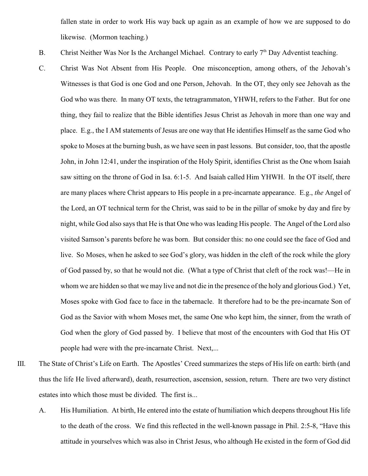fallen state in order to work His way back up again as an example of how we are supposed to do likewise. (Mormon teaching.)

- B. Christ Neither Was Nor Is the Archangel Michael. Contrary to early  $7<sup>th</sup>$  Day Adventist teaching.
- C. Christ Was Not Absent from His People. One misconception, among others, of the Jehovah's Witnesses is that God is one God and one Person, Jehovah. In the OT, they only see Jehovah as the God who was there. In many OT texts, the tetragrammaton, YHWH, refers to the Father. But for one thing, they fail to realize that the Bible identifies Jesus Christ as Jehovah in more than one way and place. E.g., the I AM statements of Jesus are one way that He identifies Himself as the same God who spoke to Moses at the burning bush, as we have seen in past lessons. But consider, too, that the apostle John, in John 12:41, under the inspiration of the Holy Spirit, identifies Christ as the One whom Isaiah saw sitting on the throne of God in Isa. 6:1-5. And Isaiah called Him YHWH. In the OT itself, there are many places where Christ appears to His people in a pre-incarnate appearance. E.g., *the* Angel of the Lord, an OT technical term for the Christ, was said to be in the pillar of smoke by day and fire by night, while God also says that He is that One who was leading His people. The Angel of the Lord also visited Samson's parents before he was born. But consider this: no one could see the face of God and live. So Moses, when he asked to see God's glory, was hidden in the cleft of the rock while the glory of God passed by, so that he would not die. (What a type of Christ that cleft of the rock was!—He in whom we are hidden so that we may live and not die in the presence of the holy and glorious God.) Yet, Moses spoke with God face to face in the tabernacle. It therefore had to be the pre-incarnate Son of God as the Savior with whom Moses met, the same One who kept him, the sinner, from the wrath of God when the glory of God passed by. I believe that most of the encounters with God that His OT people had were with the pre-incarnate Christ. Next,...
- III. The State of Christ's Life on Earth. The Apostles' Creed summarizes the steps of His life on earth: birth (and thus the life He lived afterward), death, resurrection, ascension, session, return. There are two very distinct estates into which those must be divided. The first is...
	- A. His Humiliation. At birth, He entered into the estate of humiliation which deepens throughout His life to the death of the cross. We find this reflected in the well-known passage in Phil. 2:5-8, "Have this attitude in yourselves which was also in Christ Jesus, who although He existed in the form of God did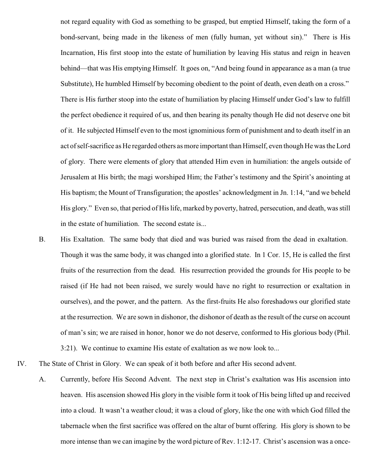not regard equality with God as something to be grasped, but emptied Himself, taking the form of a bond-servant, being made in the likeness of men (fully human, yet without sin)." There is His Incarnation, His first stoop into the estate of humiliation by leaving His status and reign in heaven behind—that was His emptying Himself. It goes on, "And being found in appearance as a man (a true Substitute), He humbled Himself by becoming obedient to the point of death, even death on a cross." There is His further stoop into the estate of humiliation by placing Himself under God's law to fulfill the perfect obedience it required of us, and then bearing its penalty though He did not deserve one bit of it. He subjected Himself even to the most ignominious form of punishment and to death itself in an act of self-sacrifice as He regarded others as more important than Himself, even though He was the Lord of glory. There were elements of glory that attended Him even in humiliation: the angels outside of Jerusalem at His birth; the magi worshiped Him; the Father's testimony and the Spirit's anointing at His baptism; the Mount of Transfiguration; the apostles' acknowledgment in Jn. 1:14, "and we beheld His glory." Even so, that period of His life, marked by poverty, hatred, persecution, and death, was still in the estate of humiliation. The second estate is...

- B. His Exaltation. The same body that died and was buried was raised from the dead in exaltation. Though it was the same body, it was changed into a glorified state. In 1 Cor. 15, He is called the first fruits of the resurrection from the dead. His resurrection provided the grounds for His people to be raised (if He had not been raised, we surely would have no right to resurrection or exaltation in ourselves), and the power, and the pattern. As the first-fruits He also foreshadows our glorified state at the resurrection. We are sown in dishonor, the dishonor of death as the result of the curse on account of man's sin; we are raised in honor, honor we do not deserve, conformed to His glorious body (Phil. 3:21). We continue to examine His estate of exaltation as we now look to...
- IV. The State of Christ in Glory. We can speak of it both before and after His second advent.
	- A. Currently, before His Second Advent. The next step in Christ's exaltation was His ascension into heaven. His ascension showed His glory in the visible form it took of His being lifted up and received into a cloud. It wasn't a weather cloud; it was a cloud of glory, like the one with which God filled the tabernacle when the first sacrifice was offered on the altar of burnt offering. His glory is shown to be more intense than we can imagine by the word picture of Rev. 1:12-17. Christ's ascension was a once-